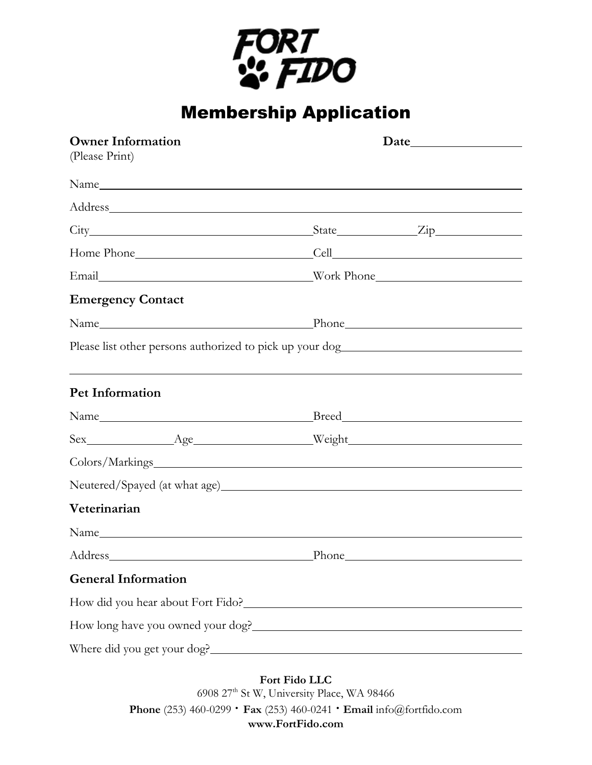

## Membership Application

| <b>Owner Information</b><br>(Please Print)                                        |             |
|-----------------------------------------------------------------------------------|-------------|
|                                                                                   |             |
|                                                                                   |             |
|                                                                                   |             |
|                                                                                   |             |
| Email Work Phone                                                                  |             |
| <b>Emergency Contact</b>                                                          |             |
|                                                                                   | Phone Phone |
| Please list other persons authorized to pick up your dog_________________________ |             |
| Pet Information                                                                   |             |
|                                                                                   |             |
|                                                                                   |             |
|                                                                                   |             |
|                                                                                   |             |
| Veterinarian                                                                      |             |
|                                                                                   |             |
|                                                                                   |             |
| <b>General Information</b>                                                        |             |
|                                                                                   |             |
|                                                                                   |             |
|                                                                                   |             |

**Fort Fido LLC**  6908 27th St W, University Place, WA 98466 **Phone** (253) 460-0299 **· Fax** (253) 460-0241 **· Email** info@fortfido.com **www.FortFido.com**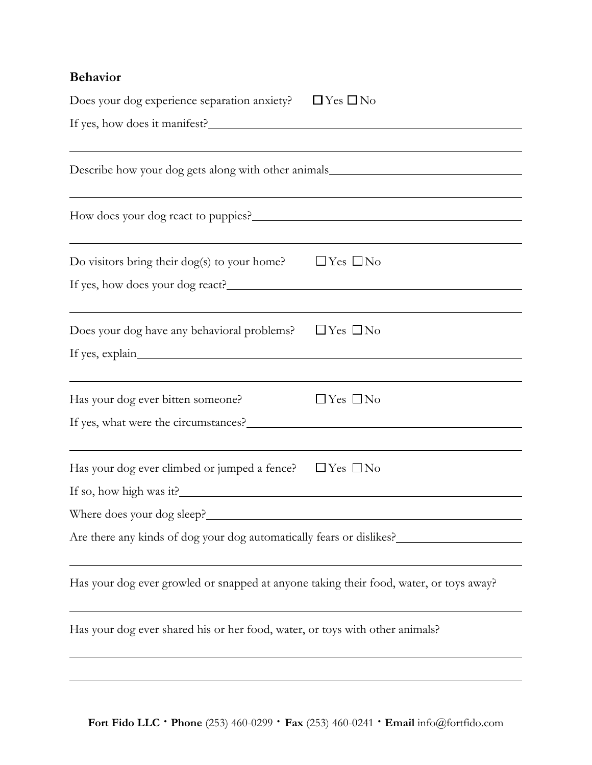## **Behavior**

| Does your dog experience separation anxiety?                                           | $\Box$ Yes $\Box$ No     |
|----------------------------------------------------------------------------------------|--------------------------|
|                                                                                        |                          |
| Describe how your dog gets along with other animals______________________________      |                          |
|                                                                                        |                          |
|                                                                                        |                          |
| Do visitors bring their $\log(s)$ to your home?                                        | $\sqcup$ Yes $\sqcup$ No |
|                                                                                        |                          |
| Does your dog have any behavioral problems?                                            | $\sqcup$ Yes $\Box$ No   |
|                                                                                        |                          |
| Has your dog ever bitten someone?                                                      | $\Box$ Yes $\Box$ No     |
|                                                                                        |                          |
| Has your dog ever climbed or jumped a fence?                                           | $\Box$ Yes $\Box$ No     |
|                                                                                        |                          |
|                                                                                        |                          |
| Are there any kinds of dog your dog automatically fears or dislikes?                   |                          |
| Has your dog ever growled or snapped at anyone taking their food, water, or toys away? |                          |
| Has your dog ever shared his or her food, water, or toys with other animals?           |                          |
|                                                                                        |                          |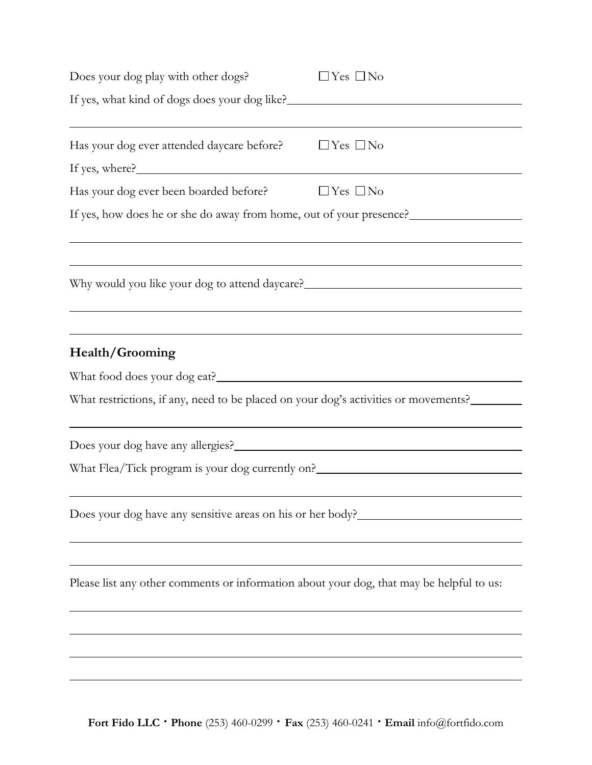| Does your dog play with other dogs?                                                                   | $\Box$ Yes $\Box$ No                                                                                                  |
|-------------------------------------------------------------------------------------------------------|-----------------------------------------------------------------------------------------------------------------------|
| If yes, what kind of dogs does your dog like?<br><u>If</u> yes, what kind of dogs does your dog like? |                                                                                                                       |
|                                                                                                       |                                                                                                                       |
| Has your dog ever attended daycare before?                                                            | $\Box$ Yes $\Box$ No                                                                                                  |
|                                                                                                       |                                                                                                                       |
| Has your dog ever been boarded before?                                                                | $\Box$ Yes $\Box$ No                                                                                                  |
| If yes, how does he or she do away from home, out of your presence?                                   |                                                                                                                       |
|                                                                                                       |                                                                                                                       |
| Why would you like your dog to attend daycare?___________________________________                     |                                                                                                                       |
|                                                                                                       |                                                                                                                       |
| Health/Grooming                                                                                       |                                                                                                                       |
|                                                                                                       |                                                                                                                       |
| What restrictions, if any, need to be placed on your dog's activities or movements?                   |                                                                                                                       |
|                                                                                                       |                                                                                                                       |
|                                                                                                       |                                                                                                                       |
| Does your dog have any sensitive areas on his or her body?_______________________                     |                                                                                                                       |
|                                                                                                       |                                                                                                                       |
| Please list any other comments or information about your dog, that may be helpful to us:              |                                                                                                                       |
|                                                                                                       | <u> 1989 - Johann Stoff, deutscher Stoffen und der Stoffen und der Stoffen und der Stoffen und der Stoffen und de</u> |
|                                                                                                       |                                                                                                                       |
|                                                                                                       |                                                                                                                       |

**Fort Fido LLC · Phone** (253) 460-0299 **· Fax** (253) 460-0241 **· Email** info@fortfido.com